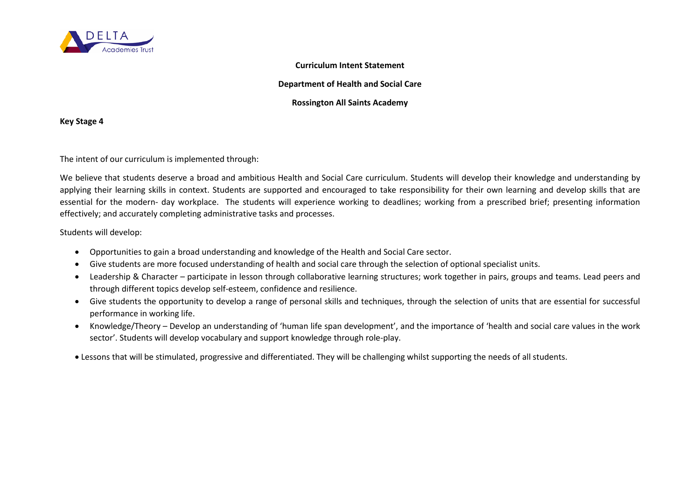

## **Curriculum Intent Statement**

## **Department of Health and Social Care**

## **Rossington All Saints Academy**

**Key Stage 4**

The intent of our curriculum is implemented through:

We believe that students deserve a broad and ambitious Health and Social Care curriculum. Students will develop their knowledge and understanding by applying their learning skills in context. Students are supported and encouraged to take responsibility for their own learning and develop skills that are essential for the modern- day workplace. The students will experience working to deadlines; working from a prescribed brief; presenting information effectively; and accurately completing administrative tasks and processes.

Students will develop:

- Opportunities to gain a broad understanding and knowledge of the Health and Social Care sector.
- Give students are more focused understanding of health and social care through the selection of optional specialist units.
- Leadership & Character participate in lesson through collaborative learning structures; work together in pairs, groups and teams. Lead peers and through different topics develop self-esteem, confidence and resilience.
- Give students the opportunity to develop a range of personal skills and techniques, through the selection of units that are essential for successful performance in working life.
- Knowledge/Theory Develop an understanding of 'human life span development', and the importance of 'health and social care values in the work sector'. Students will develop vocabulary and support knowledge through role-play.
- Lessons that will be stimulated, progressive and differentiated. They will be challenging whilst supporting the needs of all students.